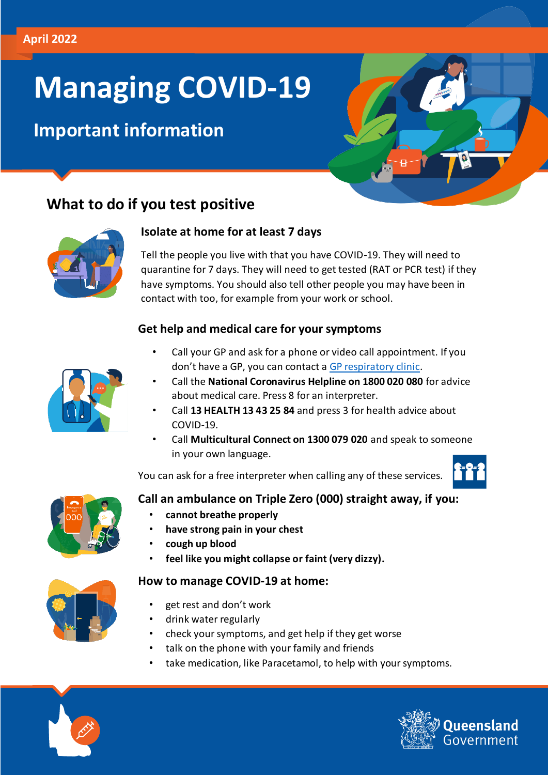# **Managing COVID-19**

# **Important information**



# **What to do if you test positive**



#### **Isolate at home for at least 7 days**

Tell the people you live with that you have COVID-19. They will need to quarantine for 7 days. They will need to get tested (RAT or PCR test) if they have symptoms. You should also tell other people you may have been in contact with too, for example from your work or school.

#### **Get help and medical care for your symptoms**



- Call your GP and ask for a phone or video call appointment. If you don't have a GP, you can contact [a GP respiratory clinic.](https://www.hotdoc.com.au/search?in=brisbane-QLD-4000&purpose=respiratory&where=service:respiratory)
- Call the **National Coronavirus Helpline on 1800 020 080** for advice about medical care. Press 8 for an interpreter.
- Call **13 HEALTH 13 43 25 84** and press 3 for health advice about COVID-19.
- Call **Multicultural Connect on 1300 079 020** and speak to someone in your own language.

You can ask for a free interpreter when calling any of these services.



#### **Call an ambulance on Triple Zero (000) straight away, if you:**

- **cannot breathe properly**
- **have strong pain in your chest**
- **cough up blood**
- **feel like you might collapse or faint (very dizzy).**

#### **How to manage COVID-19 at home:**



- get rest and don't work
- drink water regularly
- check your symptoms, and get help if they get worse
- talk on the phone with your family and friends
- take medication, like Paracetamol, to help with your symptoms.



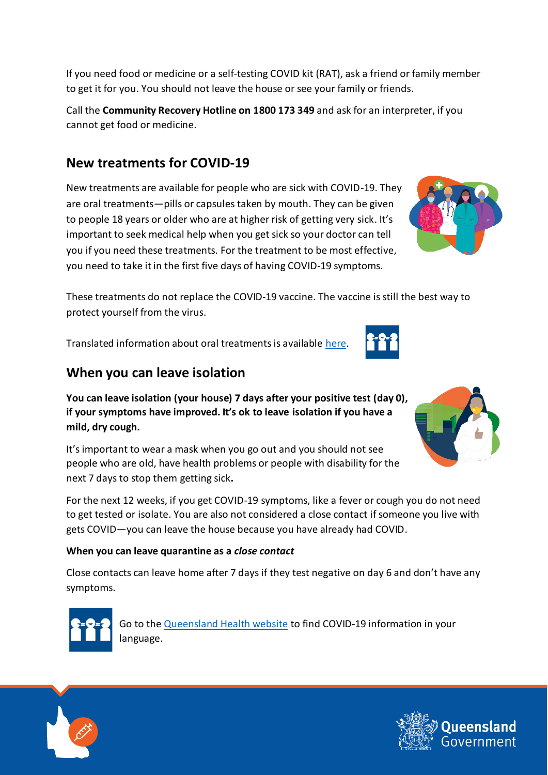ueensland

**When you can leave isolation** 

These treatments do not replace the COVID-19 vaccine. The vaccine is still the best way to

It's important to wear a mask when you go out and you should not see people who are old, have health problems or people with disability for the next 7 days to stop them getting sick**.** 

For the next 12 weeks, if you get COVID-19 symptoms, like a fever or cough you do not need to get tested or isolate. You are also not considered a close contact if someone you live with gets COVID—you can leave the house because you have already had COVID.

#### **When you can leave quarantine as a** *close contact*

Close contacts can leave home after 7 days if they test negative on day 6 and don't have any symptoms.



Go to the [Queensland Health website](https://www.qld.gov.au/health/conditions/health-alerts/coronavirus-covid-19/health-advice/support-and-resources/translated-resources#translated) to find COVID-19 information in your language.



Translated information about oral treatments is available [here.](https://www.health.gov.au/resources/translated/coronavirus-covid-19-oral-treatments-for-covid-19-other-languages)





to get it for you. You should not leave the house or see your family or friends.

If you need food or medicine or a self-testing COVID kit (RAT), ask a friend or family member

Call the **Community Recovery Hotline on 1800 173 349** and ask for an interpreter, if you

cannot get food or medicine.

protect yourself from the virus.

# **New treatments for COVID-19**

New treatments are available for people who are sick with COVID-19. They are oral treatments—pills or capsules taken by mouth. They can be given to people 18 years or older who are at higher risk of getting very sick. It's important to seek medical help when you get sick so your doctor can tell you if you need these treatments. For the treatment to be most effective, you need to take it in the first five days of having COVID-19 symptoms.